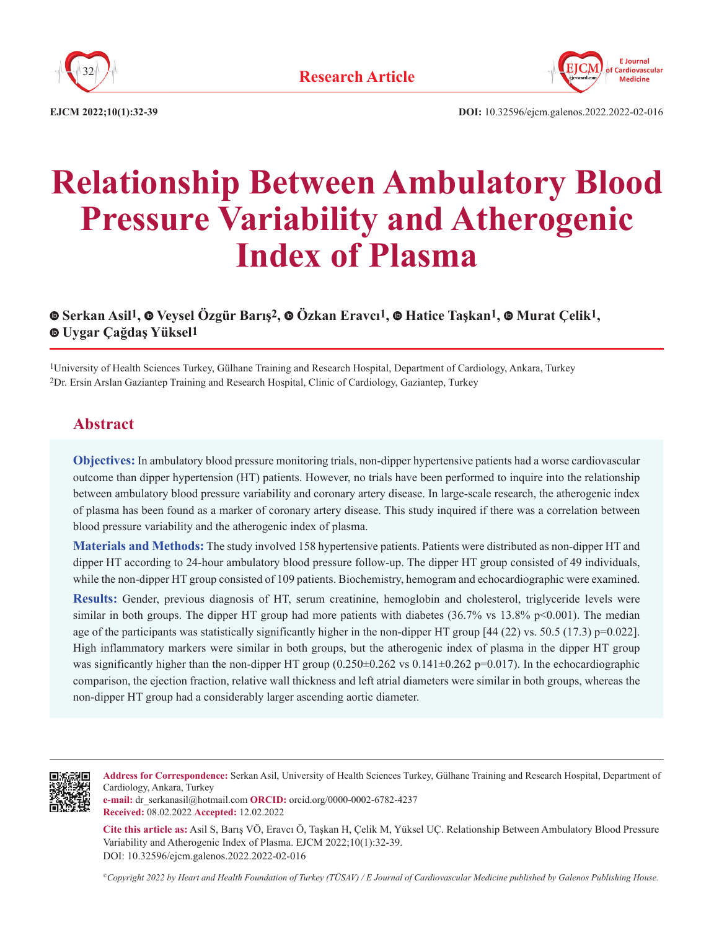



**EJCM 2022;10(1):32-39 DOI:** 10.32596/ejcm.galenos.2022.2022-02-016

# **Relationship Between Ambulatory Blood Pressure Variability and Atherogenic Index of Plasma**

# **Serkan Asil1,Veysel Özgür Barış2,Özkan Eravcı1,Hatice Taşkan1,Murat Çelik1, Uygar Çağdaş Yüksel1**

1University of Health Sciences Turkey, Gülhane Training and Research Hospital, Department of Cardiology, Ankara, Turkey 2Dr. Ersin Arslan Gaziantep Training and Research Hospital, Clinic of Cardiology, Gaziantep, Turkey

# **Abstract**

**Objectives:** In ambulatory blood pressure monitoring trials, non-dipper hypertensive patients had a worse cardiovascular outcome than dipper hypertension (HT) patients. However, no trials have been performed to inquire into the relationship between ambulatory blood pressure variability and coronary artery disease. In large-scale research, the atherogenic index of plasma has been found as a marker of coronary artery disease. This study inquired if there was a correlation between blood pressure variability and the atherogenic index of plasma.

**Materials and Methods:** The study involved 158 hypertensive patients. Patients were distributed as non-dipper HT and dipper HT according to 24-hour ambulatory blood pressure follow-up. The dipper HT group consisted of 49 individuals, while the non-dipper HT group consisted of 109 patients. Biochemistry, hemogram and echocardiographic were examined.

**Results:** Gender, previous diagnosis of HT, serum creatinine, hemoglobin and cholesterol, triglyceride levels were similar in both groups. The dipper HT group had more patients with diabetes  $(36.7\% \text{ vs } 13.8\% \text{ p} < 0.001)$ . The median age of the participants was statistically significantly higher in the non-dipper HT group  $[44 (22)$  vs. 50.5 (17.3) p=0.022]. High inflammatory markers were similar in both groups, but the atherogenic index of plasma in the dipper HT group was significantly higher than the non-dipper HT group  $(0.250\pm0.262 \text{ vs } 0.141\pm0.262 \text{ p} = 0.017)$ . In the echocardiographic comparison, the ejection fraction, relative wall thickness and left atrial diameters were similar in both groups, whereas the non-dipper HT group had a considerably larger ascending aortic diameter.



**Address for Correspondence:** Serkan Asil, University of Health Sciences Turkey, Gülhane Training and Research Hospital, Department of Cardiology, Ankara, Turkey

**e-mail:** dr\_serkanasil@hotmail.com **ORCID:** orcid.org/0000-0002-6782-4237 **Received:** 08.02.2022 **Accepted:** 12.02.2022

**Cite this article as:** Asil S, Barış VÖ, Eravcı Ö, Taşkan H, Çelik M, Yüksel UÇ. Relationship Between Ambulatory Blood Pressure Variability and Atherogenic Index of Plasma. EJCM 2022;10(1):32-39. DOI: 10.32596/ejcm.galenos.2022.2022-02-016

*©Copyright 2022 by Heart and Health Foundation of Turkey (TÜSAV) / E Journal of Cardiovascular Medicine published by Galenos Publishing House.*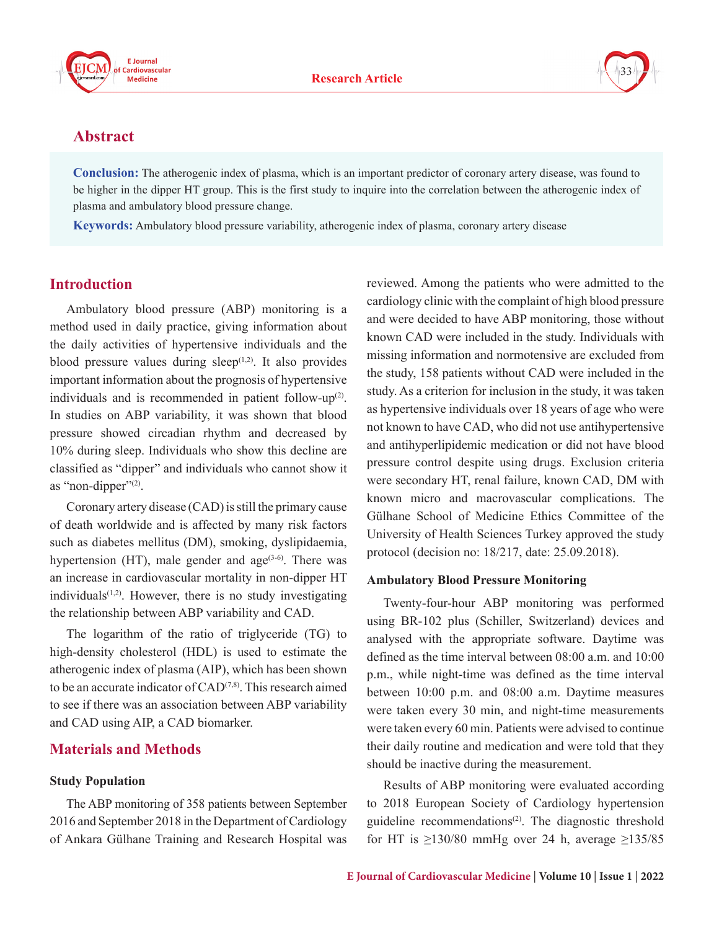





## **Abstract**

**Conclusion:** The atherogenic index of plasma, which is an important predictor of coronary artery disease, was found to be higher in the dipper HT group. This is the first study to inquire into the correlation between the atherogenic index of plasma and ambulatory blood pressure change.

**Keywords:** Ambulatory blood pressure variability, atherogenic index of plasma, coronary artery disease

## **Introduction**

Ambulatory blood pressure (ABP) monitoring is a method used in daily practice, giving information about the daily activities of hypertensive individuals and the blood pressure values during sleep $(1,2)$ . It also provides important information about the prognosis of hypertensive individuals and is recommended in patient follow-up<sup>(2)</sup>. In studies on ABP variability, it was shown that blood pressure showed circadian rhythm and decreased by 10% during sleep. Individuals who show this decline are classified as "dipper" and individuals who cannot show it as "non-dipper" $(2)$ .

Coronary artery disease (CAD) is still the primary cause of death worldwide and is affected by many risk factors such as diabetes mellitus (DM), smoking, dyslipidaemia, hypertension (HT), male gender and  $age^{(3-6)}$ . There was an increase in cardiovascular mortality in non-dipper HT individuals $(1,2)$ . However, there is no study investigating the relationship between ABP variability and CAD.

The logarithm of the ratio of triglyceride (TG) to high-density cholesterol (HDL) is used to estimate the atherogenic index of plasma (AIP), which has been shown to be an accurate indicator of  $CAD^{(7,8)}$ . This research aimed to see if there was an association between ABP variability and CAD using AIP, a CAD biomarker.

## **Materials and Methods**

#### **Study Population**

The ABP monitoring of 358 patients between September 2016 and September 2018 in the Department of Cardiology of Ankara Gülhane Training and Research Hospital was reviewed. Among the patients who were admitted to the cardiology clinic with the complaint of high blood pressure and were decided to have ABP monitoring, those without known CAD were included in the study. Individuals with missing information and normotensive are excluded from the study, 158 patients without CAD were included in the study. As a criterion for inclusion in the study, it was taken as hypertensive individuals over 18 years of age who were not known to have CAD, who did not use antihypertensive and antihyperlipidemic medication or did not have blood pressure control despite using drugs. Exclusion criteria were secondary HT, renal failure, known CAD, DM with known micro and macrovascular complications. The Gülhane School of Medicine Ethics Committee of the University of Health Sciences Turkey approved the study protocol (decision no: 18/217, date: 25.09.2018).

#### **Ambulatory Blood Pressure Monitoring**

Twenty-four-hour ABP monitoring was performed using BR-102 plus (Schiller, Switzerland) devices and analysed with the appropriate software. Daytime was defined as the time interval between 08:00 a.m. and 10:00 p.m., while night-time was defined as the time interval between 10:00 p.m. and 08:00 a.m. Daytime measures were taken every 30 min, and night-time measurements were taken every 60 min. Patients were advised to continue their daily routine and medication and were told that they should be inactive during the measurement.

Results of ABP monitoring were evaluated according to 2018 European Society of Cardiology hypertension guideline recommendations<sup>(2)</sup>. The diagnostic threshold for HT is  $\geq$ 130/80 mmHg over 24 h, average  $\geq$ 135/85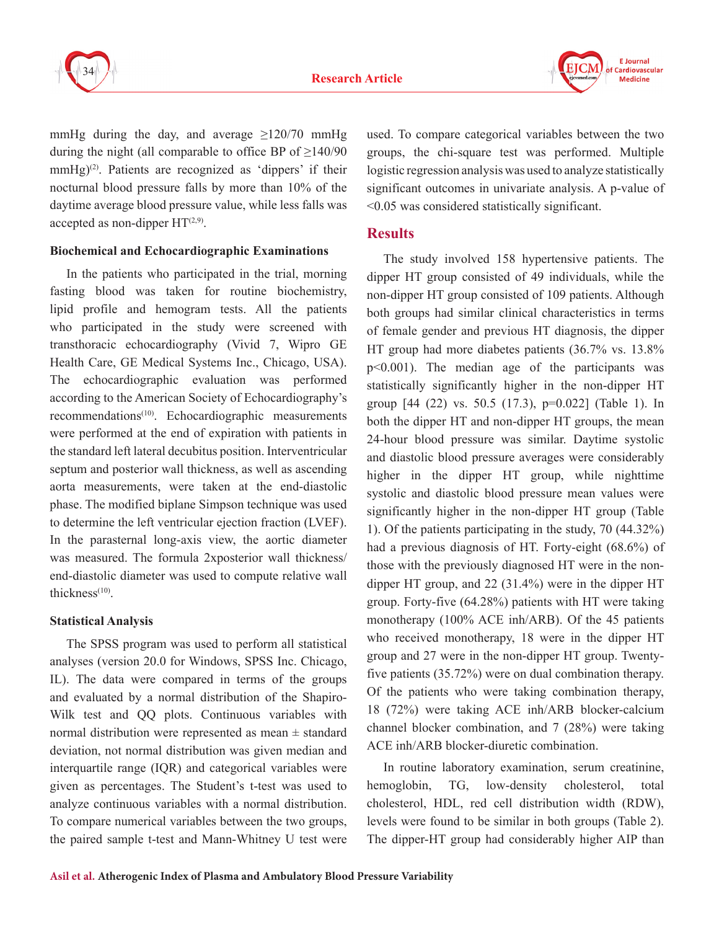



mmHg during the day, and average  $\geq$ 120/70 mmHg during the night (all comparable to office BP of  $\geq$ 140/90  $mmHg$ <sup>(2)</sup>. Patients are recognized as 'dippers' if their nocturnal blood pressure falls by more than 10% of the daytime average blood pressure value, while less falls was accepted as non-dipper  $HT^{(2,9)}$ .

#### **Biochemical and Echocardiographic Examinations**

In the patients who participated in the trial, morning fasting blood was taken for routine biochemistry, lipid profile and hemogram tests. All the patients who participated in the study were screened with transthoracic echocardiography (Vivid 7, Wipro GE Health Care, GE Medical Systems Inc., Chicago, USA). The echocardiographic evaluation was performed according to the American Society of Echocardiography's recommendations<sup>(10)</sup>. Echocardiographic measurements were performed at the end of expiration with patients in the standard left lateral decubitus position. Interventricular septum and posterior wall thickness, as well as ascending aorta measurements, were taken at the end-diastolic phase. The modified biplane Simpson technique was used to determine the left ventricular ejection fraction (LVEF). In the parasternal long-axis view, the aortic diameter was measured. The formula 2xposterior wall thickness/ end-diastolic diameter was used to compute relative wall thickness $(10)$ .

#### **Statistical Analysis**

The SPSS program was used to perform all statistical analyses (version 20.0 for Windows, SPSS Inc. Chicago, IL). The data were compared in terms of the groups and evaluated by a normal distribution of the Shapiro-Wilk test and QQ plots. Continuous variables with normal distribution were represented as mean  $\pm$  standard deviation, not normal distribution was given median and interquartile range (IQR) and categorical variables were given as percentages. The Student's t-test was used to analyze continuous variables with a normal distribution. To compare numerical variables between the two groups, the paired sample t-test and Mann-Whitney U test were

used. To compare categorical variables between the two groups, the chi-square test was performed. Multiple logistic regression analysis was used to analyze statistically significant outcomes in univariate analysis. A p-value of <0.05 was considered statistically significant.

## **Results**

The study involved 158 hypertensive patients. The dipper HT group consisted of 49 individuals, while the non-dipper HT group consisted of 109 patients. Although both groups had similar clinical characteristics in terms of female gender and previous HT diagnosis, the dipper HT group had more diabetes patients (36.7% vs. 13.8% p<0.001). The median age of the participants was statistically significantly higher in the non-dipper HT group [44 (22) vs. 50.5 (17.3), p=0.022] (Table 1). In both the dipper HT and non-dipper HT groups, the mean 24-hour blood pressure was similar. Daytime systolic and diastolic blood pressure averages were considerably higher in the dipper HT group, while nighttime systolic and diastolic blood pressure mean values were significantly higher in the non-dipper HT group (Table 1). Of the patients participating in the study, 70 (44.32%) had a previous diagnosis of HT. Forty-eight (68.6%) of those with the previously diagnosed HT were in the nondipper HT group, and 22 (31.4%) were in the dipper HT group. Forty-five (64.28%) patients with HT were taking monotherapy (100% ACE inh/ARB). Of the 45 patients who received monotherapy, 18 were in the dipper HT group and 27 were in the non-dipper HT group. Twentyfive patients (35.72%) were on dual combination therapy. Of the patients who were taking combination therapy, 18 (72%) were taking ACE inh/ARB blocker-calcium channel blocker combination, and 7 (28%) were taking ACE inh/ARB blocker-diuretic combination.

In routine laboratory examination, serum creatinine, hemoglobin, TG, low-density cholesterol, total cholesterol, HDL, red cell distribution width (RDW), levels were found to be similar in both groups (Table 2). The dipper-HT group had considerably higher AIP than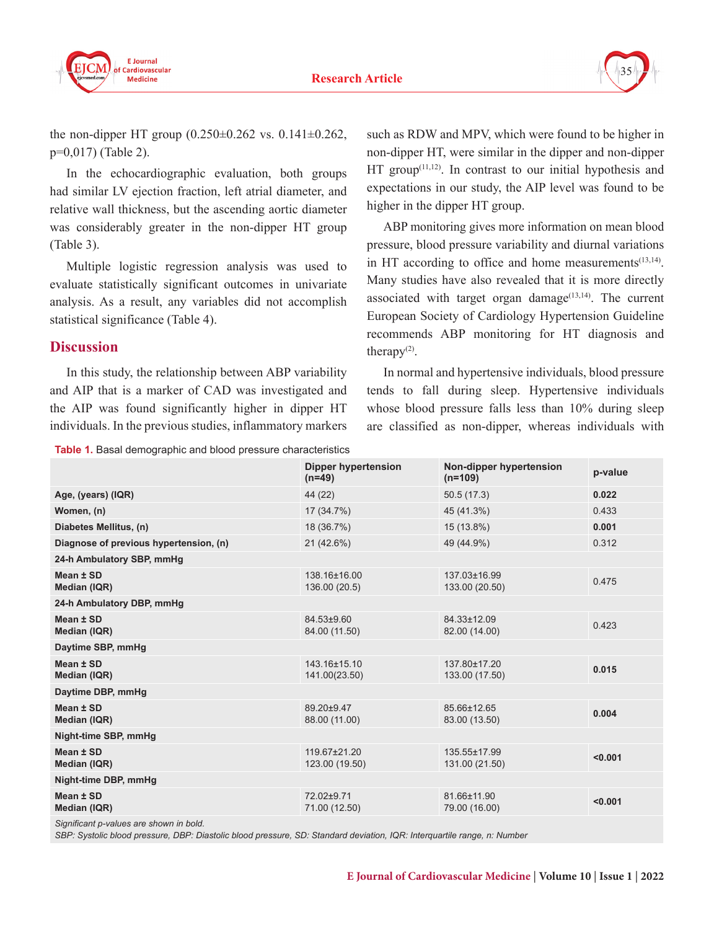

the non-dipper HT group  $(0.250 \pm 0.262 \text{ vs. } 0.141 \pm 0.262)$ , p=0,017) (Table 2).

In the echocardiographic evaluation, both groups had similar LV ejection fraction, left atrial diameter, and relative wall thickness, but the ascending aortic diameter was considerably greater in the non-dipper HT group (Table 3).

Multiple logistic regression analysis was used to evaluate statistically significant outcomes in univariate analysis. As a result, any variables did not accomplish statistical significance (Table 4).

### **Discussion**

In this study, the relationship between ABP variability and AIP that is a marker of CAD was investigated and the AIP was found significantly higher in dipper HT individuals. In the previous studies, inflammatory markers

**Table 1.** Basal demographic and blood pressure characteristics

such as RDW and MPV, which were found to be higher in non-dipper HT, were similar in the dipper and non-dipper  $HT$  group<sup> $(11,12)$ </sup>. In contrast to our initial hypothesis and expectations in our study, the AIP level was found to be higher in the dipper HT group.

ABP monitoring gives more information on mean blood pressure, blood pressure variability and diurnal variations in HT according to office and home measurements $(13,14)$ . Many studies have also revealed that it is more directly associated with target organ damage $(13,14)$ . The current European Society of Cardiology Hypertension Guideline recommends ABP monitoring for HT diagnosis and therapy $(2)$ .

In normal and hypertensive individuals, blood pressure tends to fall during sleep. Hypertensive individuals whose blood pressure falls less than 10% during sleep are classified as non-dipper, whereas individuals with

| www.comparatively.compared with procedure characteristics |                                        |                                      |         |  |  |  |
|-----------------------------------------------------------|----------------------------------------|--------------------------------------|---------|--|--|--|
|                                                           | <b>Dipper hypertension</b><br>$(n=49)$ | Non-dipper hypertension<br>$(n=109)$ | p-value |  |  |  |
| Age, (years) (IQR)                                        | 44 (22)                                | 50.5(17.3)                           | 0.022   |  |  |  |
| Women, (n)                                                | 17 (34.7%)                             | 45 (41.3%)                           | 0.433   |  |  |  |
| Diabetes Mellitus, (n)                                    | 18 (36.7%)                             | 15 (13.8%)                           | 0.001   |  |  |  |
| Diagnose of previous hypertension, (n)                    | $21(42.6\%)$                           | 49 (44.9%)                           | 0.312   |  |  |  |
| 24-h Ambulatory SBP, mmHg                                 |                                        |                                      |         |  |  |  |
| Mean ± SD<br>Median (IQR)                                 | 138.16±16.00<br>136.00 (20.5)          | 137.03±16.99<br>133.00 (20.50)       | 0.475   |  |  |  |
| 24-h Ambulatory DBP, mmHg                                 |                                        |                                      |         |  |  |  |
| Mean ± SD<br>Median (IQR)                                 | 84.53±9.60<br>84.00 (11.50)            | 84.33±12.09<br>82.00 (14.00)         | 0.423   |  |  |  |
| Daytime SBP, mmHg                                         |                                        |                                      |         |  |  |  |
| Mean ± SD<br>Median (IQR)                                 | 143.16±15.10<br>141.00(23.50)          | 137.80±17.20<br>133.00 (17.50)       | 0.015   |  |  |  |
| Daytime DBP, mmHg                                         |                                        |                                      |         |  |  |  |
| Mean ± SD<br>Median (IQR)                                 | 89.20±9.47<br>88.00 (11.00)            | 85.66±12.65<br>83.00 (13.50)         | 0.004   |  |  |  |
| Night-time SBP, mmHg                                      |                                        |                                      |         |  |  |  |
| Mean ± SD<br>Median (IQR)                                 | 119.67±21.20<br>123.00 (19.50)         | 135.55±17.99<br>131.00 (21.50)       | < 0.001 |  |  |  |
| Night-time DBP, mmHg                                      |                                        |                                      |         |  |  |  |
| Mean ± SD<br><b>Median (IQR)</b>                          | 72.02±9.71<br>71.00 (12.50)            | 81.66±11.90<br>79.00 (16.00)         | < 0.001 |  |  |  |
|                                                           |                                        |                                      |         |  |  |  |

*Significant p-values are shown in bold.*

*SBP: Systolic blood pressure, DBP: Diastolic blood pressure, SD: Standard deviation, IQR: Interquartile range, n: Number*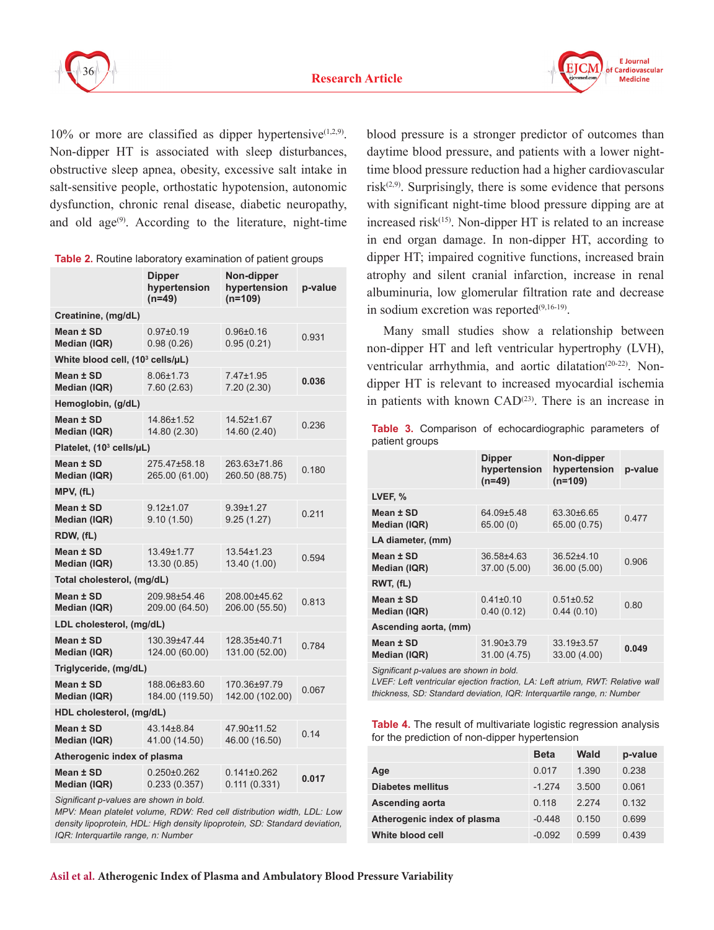



 $10\%$  or more are classified as dipper hypertensive<sup>(1,2,9)</sup>. Non-dipper HT is associated with sleep disturbances, obstructive sleep apnea, obesity, excessive salt intake in salt-sensitive people, orthostatic hypotension, autonomic dysfunction, chronic renal disease, diabetic neuropathy, and old  $age^{(9)}$ . According to the literature, night-time

|                                              | Dipper<br>hypertension<br>$(n=49)$                       | Non-dipper<br>hypertension<br>(n=109) | p-value |  |  |  |  |
|----------------------------------------------|----------------------------------------------------------|---------------------------------------|---------|--|--|--|--|
| Creatinine, (mg/dL)                          |                                                          |                                       |         |  |  |  |  |
| Mean ± SD<br>Median (IQR)                    | $0.97 + 0.19$<br>0.98(0.26)                              | $0.96 + 0.16$<br>0.95(0.21)           | 0.931   |  |  |  |  |
| White blood cell, (10 <sup>3</sup> cells/µL) |                                                          |                                       |         |  |  |  |  |
| Mean ± SD<br>Median (IQR)                    | 8.06±1.73<br>7.60 (2.63)                                 | 7.47±1.95<br>7.20(2.30)               | 0.036   |  |  |  |  |
| Hemoglobin, (g/dL)                           |                                                          |                                       |         |  |  |  |  |
| Mean ± SD<br>Median (IQR)                    | 14.86±1.52<br>14.52±1.67<br>14.80 (2.30)<br>14.60 (2.40) |                                       | 0.236   |  |  |  |  |
| Platelet, (10 <sup>3</sup> cells/µL)         |                                                          |                                       |         |  |  |  |  |
| Mean ± SD<br>Median (IQR)                    | 275.47±58.18<br>265.00 (61.00)                           | 263.63±71.86<br>260.50 (88.75)        | 0.180   |  |  |  |  |
| MPV, (fL)                                    |                                                          |                                       |         |  |  |  |  |
| Mean ± SD<br>Median (IQR)                    | $9.12 \pm 1.07$<br>9.10(1.50)                            | $9.39 + 1.27$<br>9.25(1.27)           | 0.211   |  |  |  |  |
| RDW, (fL)                                    |                                                          |                                       |         |  |  |  |  |
| Mean ± SD<br>Median (IQR)                    | 13.49±1.77<br>13.30 (0.85)                               | $13.54 \pm 1.23$<br>13.40 (1.00)      | 0.594   |  |  |  |  |
| Total cholesterol, (mg/dL)                   |                                                          |                                       |         |  |  |  |  |
| Mean ± SD<br>Median (IQR)                    | 209.98±54.46<br>209.00 (64.50)                           | 208.00±45.62<br>206.00 (55.50)        | 0.813   |  |  |  |  |
| LDL cholesterol, (mg/dL)                     |                                                          |                                       |         |  |  |  |  |
| Mean ± SD<br>Median (IQR)                    | 130.39±47.44<br>124.00 (60.00)                           | 128.35±40.71<br>131.00 (52.00)        | 0.784   |  |  |  |  |
| Triglyceride, (mg/dL)                        |                                                          |                                       |         |  |  |  |  |
| Mean ± SD<br>Median (IQR)                    | 188.06±83.60<br>184.00 (119.50)                          | 170.36±97.79<br>142.00 (102.00)       | 0.067   |  |  |  |  |
| HDL cholesterol, (mg/dL)                     |                                                          |                                       |         |  |  |  |  |
| Mean ± SD<br>Median (IQR)                    | 43.14±8.84<br>41.00 (14.50)                              | 47.90±11.52<br>46.00 (16.50)          | 0.14    |  |  |  |  |
| Atherogenic index of plasma                  |                                                          |                                       |         |  |  |  |  |
| Mean ± SD<br>Median (IQR)                    | $0.250 \pm 0.262$<br>0.233(0.357)                        | $0.141 \pm 0.262$<br>0.111(0.331)     | 0.017   |  |  |  |  |

**Table 2.** Routine laboratory examination of patient groups

*Significant p-values are shown in bold.*

*MPV: Mean platelet volume, RDW: Red cell distribution width, LDL: Low density lipoprotein, HDL: High density lipoprotein, SD: Standard deviation, IQR: Interquartile range, n: Number*

blood pressure is a stronger predictor of outcomes than daytime blood pressure, and patients with a lower nighttime blood pressure reduction had a higher cardiovascular risk $(2,9)$ . Surprisingly, there is some evidence that persons with significant night-time blood pressure dipping are at increased risk $(15)$ . Non-dipper HT is related to an increase in end organ damage. In non-dipper HT, according to dipper HT; impaired cognitive functions, increased brain atrophy and silent cranial infarction, increase in renal albuminuria, low glomerular filtration rate and decrease in sodium excretion was reported<sup>(9,16-19)</sup>.

Many small studies show a relationship between non-dipper HT and left ventricular hypertrophy (LVH), ventricular arrhythmia, and aortic dilatation<sup>(20-22)</sup>. Nondipper HT is relevant to increased myocardial ischemia in patients with known CAD<sup>(23)</sup>. There is an increase in

|                |  | Table 3. Comparison of echocardiographic parameters of |  |
|----------------|--|--------------------------------------------------------|--|
| patient groups |  |                                                        |  |

|                           | <b>Dipper</b><br>hypertension<br>$(n=49)$ | Non-dipper<br>hypertension<br>$(n=109)$ | p-value |  |  |  |
|---------------------------|-------------------------------------------|-----------------------------------------|---------|--|--|--|
| LVEF, %                   |                                           |                                         |         |  |  |  |
| Mean ± SD<br>Median (IQR) | 64.09±5.48<br>65.00(0)                    | 63.30±6.65<br>65.00 (0.75)              | 0.477   |  |  |  |
| LA diameter, (mm)         |                                           |                                         |         |  |  |  |
| Mean ± SD<br>Median (IQR) | $36.58 + 4.63$<br>37.00 (5.00)            | $36.52{\pm}4.10$<br>36.00 (5.00)        | 0.906   |  |  |  |
| RWT. (fL)                 |                                           |                                         |         |  |  |  |
| Mean ± SD<br>Median (IQR) | $0.41 \pm 0.10$<br>0.40(0.12)             | $0.51 \pm 0.52$<br>0.44(0.10)           | 0.80    |  |  |  |
| Ascending aorta, (mm)     |                                           |                                         |         |  |  |  |
| Mean ± SD<br>Median (IQR) | 31.90±3.79<br>31.00 (4.75)                | $33.19 \pm 3.57$<br>33.00 (4.00)        | 0.049   |  |  |  |

*Significant p-values are shown in bold.*

LVEF: Left ventricular ejection fraction, LA: Left atrium, RWT: Relative wall *thickness, SD: Standard deviation, IQR: Interquartile range, n: Number*

**Table 4.** The result of multivariate logistic regression analysis for the prediction of non-dipper hypertension

|                             | <b>Beta</b> | Wald    | p-value |
|-----------------------------|-------------|---------|---------|
| Age                         | 0.017       | 1.390   | 0.238   |
| Diabetes mellitus           | $-1274$     | 3.500   | 0.061   |
| Ascending aorta             | 0.118       | 2 2 7 4 | 0.132   |
| Atherogenic index of plasma | $-0.448$    | 0.150   | 0.699   |
| White blood cell            | $-0.092$    | 0.599   | 0.439   |

**Asil et al. Atherogenic Index of Plasma and Ambulatory Blood Pressure Variability**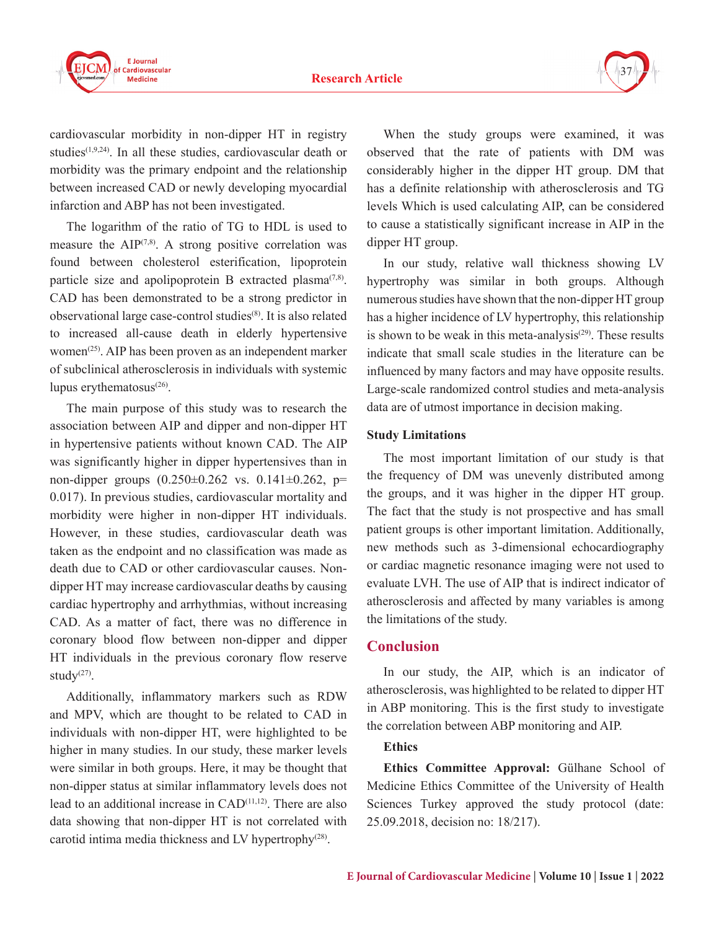

cardiovascular morbidity in non-dipper HT in registry studies<sup>(1,9,24)</sup>. In all these studies, cardiovascular death or morbidity was the primary endpoint and the relationship between increased CAD or newly developing myocardial infarction and ABP has not been investigated.

The logarithm of the ratio of TG to HDL is used to measure the  $AIP^{(7,8)}$ . A strong positive correlation was found between cholesterol esterification, lipoprotein particle size and apolipoprotein B extracted plasma $(7,8)$ . CAD has been demonstrated to be a strong predictor in observational large case-control studies(8). It is also related to increased all-cause death in elderly hypertensive women<sup>(25)</sup>. AIP has been proven as an independent marker of subclinical atherosclerosis in individuals with systemic lupus erythematosus $^{(26)}$ .

The main purpose of this study was to research the association between AIP and dipper and non-dipper HT in hypertensive patients without known CAD. The AIP was significantly higher in dipper hypertensives than in non-dipper groups  $(0.250 \pm 0.262 \text{ vs. } 0.141 \pm 0.262, \text{ p}$ 0.017). In previous studies, cardiovascular mortality and morbidity were higher in non-dipper HT individuals. However, in these studies, cardiovascular death was taken as the endpoint and no classification was made as death due to CAD or other cardiovascular causes. Nondipper HT may increase cardiovascular deaths by causing cardiac hypertrophy and arrhythmias, without increasing CAD. As a matter of fact, there was no difference in coronary blood flow between non-dipper and dipper HT individuals in the previous coronary flow reserve study $(27)$ .

Additionally, inflammatory markers such as RDW and MPV, which are thought to be related to CAD in individuals with non-dipper HT, were highlighted to be higher in many studies. In our study, these marker levels were similar in both groups. Here, it may be thought that non-dipper status at similar inflammatory levels does not lead to an additional increase in CAD<sup>(11,12)</sup>. There are also data showing that non-dipper HT is not correlated with carotid intima media thickness and LV hypertrophy<sup>(28)</sup>.

When the study groups were examined, it was observed that the rate of patients with DM was considerably higher in the dipper HT group. DM that has a definite relationship with atherosclerosis and TG levels Which is used calculating AIP, can be considered to cause a statistically significant increase in AIP in the dipper HT group.

In our study, relative wall thickness showing LV hypertrophy was similar in both groups. Although numerous studies have shown that the non-dipper HT group has a higher incidence of LV hypertrophy, this relationship is shown to be weak in this meta-analysis $(29)$ . These results indicate that small scale studies in the literature can be influenced by many factors and may have opposite results. Large-scale randomized control studies and meta-analysis data are of utmost importance in decision making.

#### **Study Limitations**

The most important limitation of our study is that the frequency of DM was unevenly distributed among the groups, and it was higher in the dipper HT group. The fact that the study is not prospective and has small patient groups is other important limitation. Additionally, new methods such as 3-dimensional echocardiography or cardiac magnetic resonance imaging were not used to evaluate LVH. The use of AIP that is indirect indicator of atherosclerosis and affected by many variables is among the limitations of the study.

#### **Conclusion**

In our study, the AIP, which is an indicator of atherosclerosis, was highlighted to be related to dipper HT in ABP monitoring. This is the first study to investigate the correlation between ABP monitoring and AIP.

#### **Ethics**

**Ethics Committee Approval:** Gülhane School of Medicine Ethics Committee of the University of Health Sciences Turkey approved the study protocol (date: 25.09.2018, decision no: 18/217).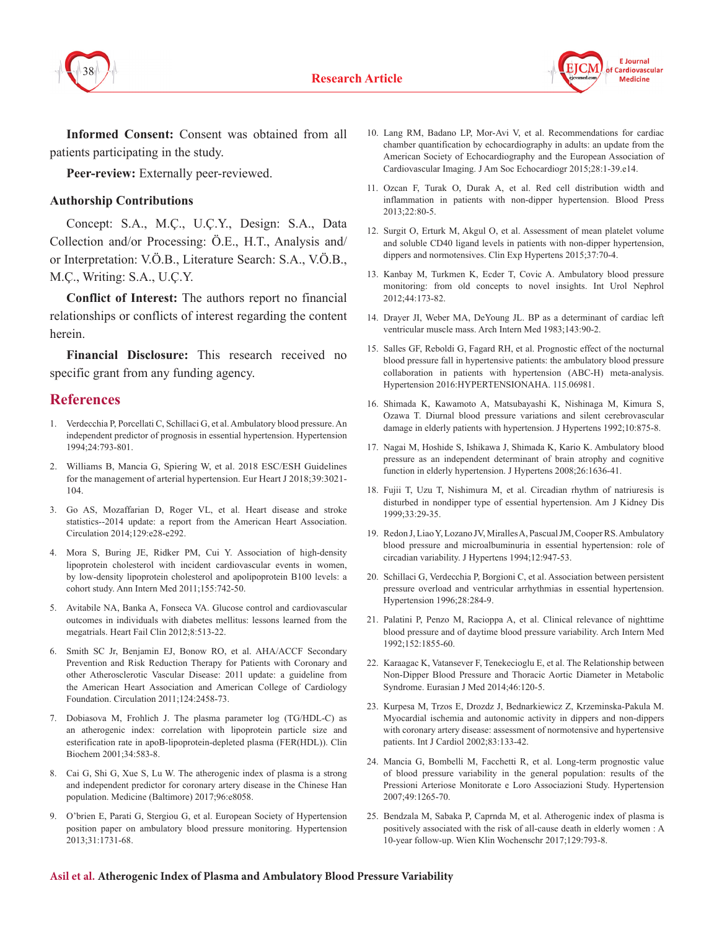



**Informed Consent:** Consent was obtained from all patients participating in the study.

**Peer-review:** Externally peer-reviewed.

#### **Authorship Contributions**

Concept: S.A., M.Ç., U.Ç.Y., Design: S.A., Data Collection and/or Processing: Ö.E., H.T., Analysis and/ or Interpretation: V.Ö.B., Literature Search: S.A., V.Ö.B., M.Ç., Writing: S.A., U.Ç.Y.

**Conflict of Interest:** The authors report no financial relationships or conflicts of interest regarding the content herein.

**Financial Disclosure:** This research received no specific grant from any funding agency.

#### **References**

- 1. Verdecchia P, Porcellati C, Schillaci G, et al. Ambulatory blood pressure. An independent predictor of prognosis in essential hypertension. Hypertension 1994;24:793-801.
- 2. Williams B, Mancia G, Spiering W, et al. 2018 ESC/ESH Guidelines for the management of arterial hypertension. Eur Heart J 2018;39:3021- 104.
- 3. Go AS, Mozaffarian D, Roger VL, et al. Heart disease and stroke statistics--2014 update: a report from the American Heart Association. Circulation 2014;129:e28-e292.
- 4. Mora S, Buring JE, Ridker PM, Cui Y. Association of high-density lipoprotein cholesterol with incident cardiovascular events in women, by low-density lipoprotein cholesterol and apolipoprotein B100 levels: a cohort study. Ann Intern Med 2011;155:742-50.
- 5. Avitabile NA, Banka A, Fonseca VA. Glucose control and cardiovascular outcomes in individuals with diabetes mellitus: lessons learned from the megatrials. Heart Fail Clin 2012;8:513-22.
- 6. Smith SC Jr, Benjamin EJ, Bonow RO, et al. AHA/ACCF Secondary Prevention and Risk Reduction Therapy for Patients with Coronary and other Atherosclerotic Vascular Disease: 2011 update: a guideline from the American Heart Association and American College of Cardiology Foundation. Circulation 2011;124:2458-73.
- 7. Dobiasova M, Frohlich J. The plasma parameter log (TG/HDL-C) as an atherogenic index: correlation with lipoprotein particle size and esterification rate in apoB-lipoprotein-depleted plasma (FER(HDL)). Clin Biochem 2001;34:583-8.
- 8. Cai G, Shi G, Xue S, Lu W. The atherogenic index of plasma is a strong and independent predictor for coronary artery disease in the Chinese Han population. Medicine (Baltimore) 2017;96:e8058.
- 9. O'brien E, Parati G, Stergiou G, et al. European Society of Hypertension position paper on ambulatory blood pressure monitoring. Hypertension 2013;31:1731-68.
- 10. Lang RM, Badano LP, Mor-Avi V, et al. Recommendations for cardiac chamber quantification by echocardiography in adults: an update from the American Society of Echocardiography and the European Association of Cardiovascular Imaging. J Am Soc Echocardiogr 2015;28:1-39.e14.
- 11. Ozcan F, Turak O, Durak A, et al. Red cell distribution width and inflammation in patients with non-dipper hypertension. Blood Press 2013;22:80-5.
- 12. Surgit O, Erturk M, Akgul O, et al. Assessment of mean platelet volume and soluble CD40 ligand levels in patients with non-dipper hypertension, dippers and normotensives. Clin Exp Hypertens 2015;37:70-4.
- 13. Kanbay M, Turkmen K, Ecder T, Covic A. Ambulatory blood pressure monitoring: from old concepts to novel insights. Int Urol Nephrol 2012;44:173-82.
- 14. Drayer JI, Weber MA, DeYoung JL. BP as a determinant of cardiac left ventricular muscle mass. Arch Intern Med 1983;143:90-2.
- 15. Salles GF, Reboldi G, Fagard RH, et al. Prognostic effect of the nocturnal blood pressure fall in hypertensive patients: the ambulatory blood pressure collaboration in patients with hypertension (ABC-H) meta-analysis. Hypertension 2016:HYPERTENSIONAHA. 115.06981.
- 16. Shimada K, Kawamoto A, Matsubayashi K, Nishinaga M, Kimura S, Ozawa T. Diurnal blood pressure variations and silent cerebrovascular damage in elderly patients with hypertension. J Hypertens 1992;10:875-8.
- 17. Nagai M, Hoshide S, Ishikawa J, Shimada K, Kario K. Ambulatory blood pressure as an independent determinant of brain atrophy and cognitive function in elderly hypertension. J Hypertens 2008;26:1636-41.
- 18. Fujii T, Uzu T, Nishimura M, et al. Circadian rhythm of natriuresis is disturbed in nondipper type of essential hypertension. Am J Kidney Dis 1999;33:29-35.
- 19. Redon J, Liao Y, Lozano JV, Miralles A, Pascual JM, Cooper RS. Ambulatory blood pressure and microalbuminuria in essential hypertension: role of circadian variability. J Hypertens 1994;12:947-53.
- 20. Schillaci G, Verdecchia P, Borgioni C, et al. Association between persistent pressure overload and ventricular arrhythmias in essential hypertension. Hypertension 1996;28:284-9.
- 21. Palatini P, Penzo M, Racioppa A, et al. Clinical relevance of nighttime blood pressure and of daytime blood pressure variability. Arch Intern Med 1992;152:1855-60.
- 22. Karaagac K, Vatansever F, Tenekecioglu E, et al. The Relationship between Non-Dipper Blood Pressure and Thoracic Aortic Diameter in Metabolic Syndrome. Eurasian J Med 2014;46:120-5.
- 23. Kurpesa M, Trzos E, Drozdz J, Bednarkiewicz Z, Krzeminska-Pakula M. Myocardial ischemia and autonomic activity in dippers and non-dippers with coronary artery disease: assessment of normotensive and hypertensive patients. Int J Cardiol 2002;83:133-42.
- 24. Mancia G, Bombelli M, Facchetti R, et al. Long-term prognostic value of blood pressure variability in the general population: results of the Pressioni Arteriose Monitorate e Loro Associazioni Study. Hypertension 2007;49:1265-70.
- 25. Bendzala M, Sabaka P, Caprnda M, et al. Atherogenic index of plasma is positively associated with the risk of all-cause death in elderly women : A 10-year follow-up. Wien Klin Wochenschr 2017;129:793-8.